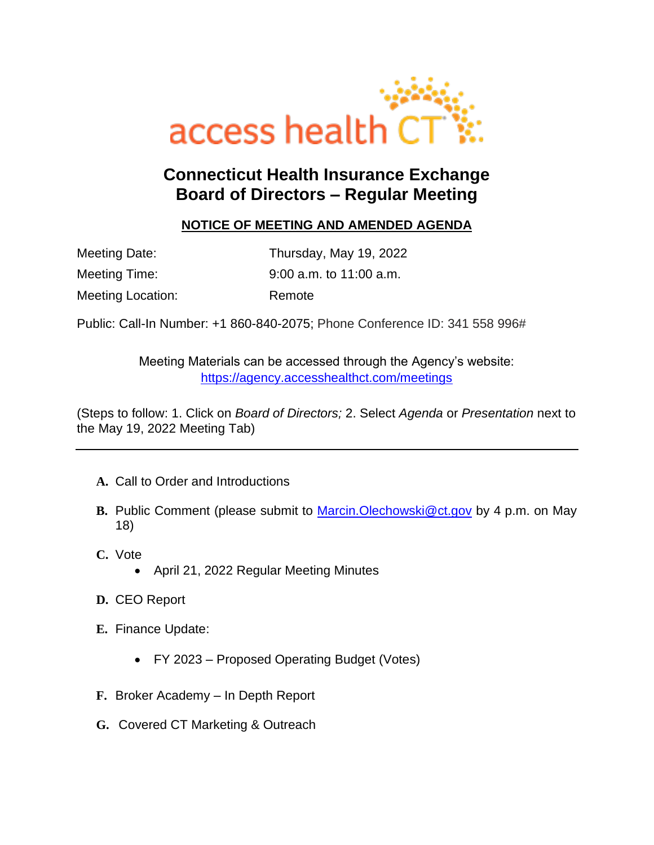

## **Connecticut Health Insurance Exchange Board of Directors – Regular Meeting**

## **NOTICE OF MEETING AND AMENDED AGENDA**

| Meeting Date:            | Thursday, May 19, 2022    |
|--------------------------|---------------------------|
| Meeting Time:            | $9:00$ a.m. to 11:00 a.m. |
| <b>Meeting Location:</b> | Remote                    |

Public: Call-In Number: [+1](tel:+1%20860-840-2075,,989635907# ) 860-840-2075; Phone Conference ID: 341 558 996#

Meeting Materials can be accessed through the Agency's website: <https://agency.accesshealthct.com/meetings>

(Steps to follow: 1. Click on *Board of Directors;* 2. Select *Agenda* or *Presentation* next to the May 19, 2022 Meeting Tab)

- **A.** Call to Order and Introductions
- **B.** Public Comment (please submit to [Marcin.Olechowski@ct.gov](mailto:Marcin.Olechowski@ct.gov) by 4 p.m. on May 18)
- **C.** Vote
	- April 21, 2022 Regular Meeting Minutes
- **D.** CEO Report
- **E.** Finance Update:
	- FY 2023 Proposed Operating Budget (Votes)
- **F.** Broker Academy In Depth Report
- **G.** Covered CT Marketing & Outreach